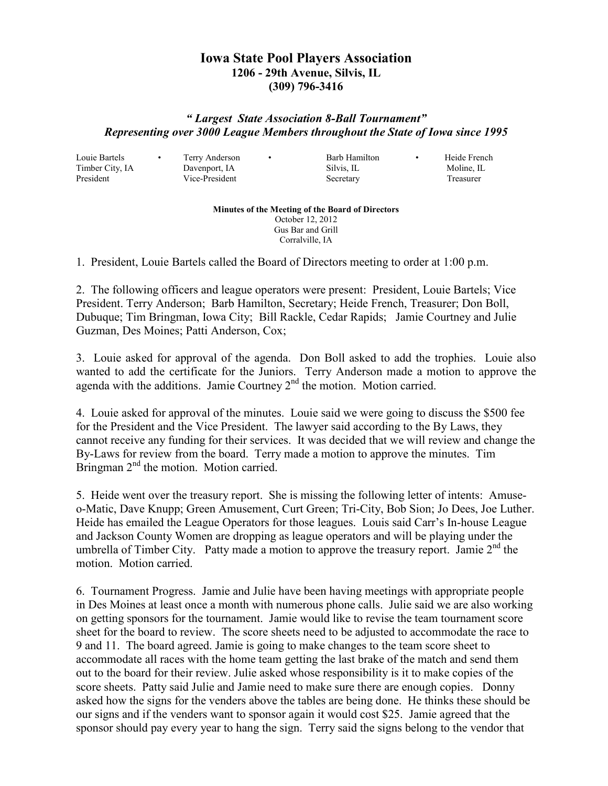## **Iowa State Pool Players Association 1206 - 29th Avenue, Silvis, IL (309) 796-3416**

## *" Largest State Association 8-Ball Tournament" Representing over 3000 League Members throughout the State of Iowa since 1995*

Louie Bartels • Terry Anderson • Barb Hamilton • Heide French

Timber City, IA Davenport, IA Silvis, IL Moline, IL President Vice-President Secretary Treasurer

## **Minutes of the Meeting of the Board of Directors**  October 12, 2012 Gus Bar and Grill Corralville, IA

1. President, Louie Bartels called the Board of Directors meeting to order at 1:00 p.m.

2. The following officers and league operators were present: President, Louie Bartels; Vice President. Terry Anderson; Barb Hamilton, Secretary; Heide French, Treasurer; Don Boll, Dubuque; Tim Bringman, Iowa City; Bill Rackle, Cedar Rapids; Jamie Courtney and Julie Guzman, Des Moines; Patti Anderson, Cox;

3. Louie asked for approval of the agenda. Don Boll asked to add the trophies. Louie also wanted to add the certificate for the Juniors. Terry Anderson made a motion to approve the agenda with the additions. Jamie Courtney  $2<sup>nd</sup>$  the motion. Motion carried.

4. Louie asked for approval of the minutes. Louie said we were going to discuss the \$500 fee for the President and the Vice President. The lawyer said according to the By Laws, they cannot receive any funding for their services. It was decided that we will review and change the By-Laws for review from the board. Terry made a motion to approve the minutes. Tim Bringman  $2<sup>nd</sup>$  the motion. Motion carried.

5. Heide went over the treasury report. She is missing the following letter of intents: Amuseo-Matic, Dave Knupp; Green Amusement, Curt Green; Tri-City, Bob Sion; Jo Dees, Joe Luther. Heide has emailed the League Operators for those leagues. Louis said Carr's In-house League and Jackson County Women are dropping as league operators and will be playing under the umbrella of Timber City. Patty made a motion to approve the treasury report. Jamie  $2<sup>nd</sup>$  the motion. Motion carried.

6. Tournament Progress. Jamie and Julie have been having meetings with appropriate people in Des Moines at least once a month with numerous phone calls. Julie said we are also working on getting sponsors for the tournament. Jamie would like to revise the team tournament score sheet for the board to review. The score sheets need to be adjusted to accommodate the race to 9 and 11. The board agreed. Jamie is going to make changes to the team score sheet to accommodate all races with the home team getting the last brake of the match and send them out to the board for their review. Julie asked whose responsibility is it to make copies of the score sheets. Patty said Julie and Jamie need to make sure there are enough copies. Donny asked how the signs for the venders above the tables are being done. He thinks these should be our signs and if the venders want to sponsor again it would cost \$25. Jamie agreed that the sponsor should pay every year to hang the sign. Terry said the signs belong to the vendor that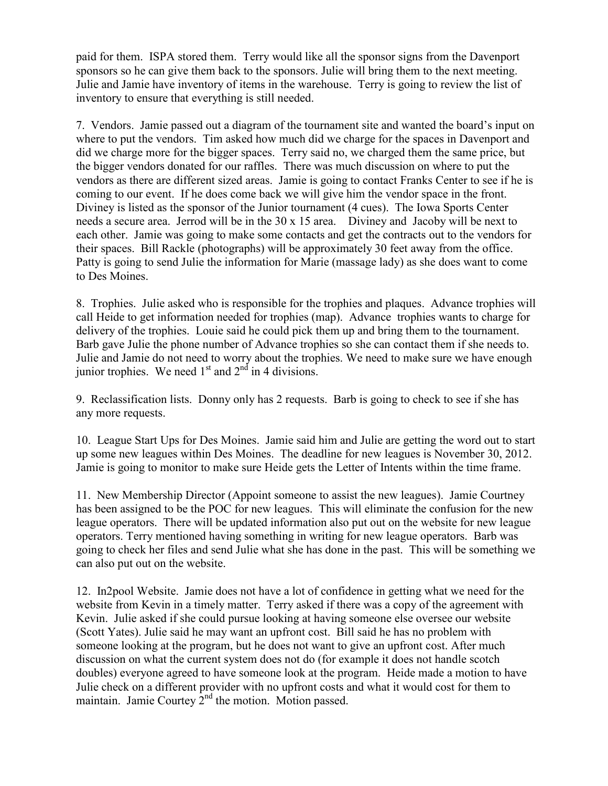paid for them. ISPA stored them. Terry would like all the sponsor signs from the Davenport sponsors so he can give them back to the sponsors. Julie will bring them to the next meeting. Julie and Jamie have inventory of items in the warehouse. Terry is going to review the list of inventory to ensure that everything is still needed.

7. Vendors. Jamie passed out a diagram of the tournament site and wanted the board's input on where to put the vendors. Tim asked how much did we charge for the spaces in Davenport and did we charge more for the bigger spaces. Terry said no, we charged them the same price, but the bigger vendors donated for our raffles. There was much discussion on where to put the vendors as there are different sized areas. Jamie is going to contact Franks Center to see if he is coming to our event. If he does come back we will give him the vendor space in the front. Diviney is listed as the sponsor of the Junior tournament (4 cues). The Iowa Sports Center needs a secure area. Jerrod will be in the 30 x 15 area. Diviney and Jacoby will be next to each other. Jamie was going to make some contacts and get the contracts out to the vendors for their spaces. Bill Rackle (photographs) will be approximately 30 feet away from the office. Patty is going to send Julie the information for Marie (massage lady) as she does want to come to Des Moines.

8. Trophies. Julie asked who is responsible for the trophies and plaques. Advance trophies will call Heide to get information needed for trophies (map). Advance trophies wants to charge for delivery of the trophies. Louie said he could pick them up and bring them to the tournament. Barb gave Julie the phone number of Advance trophies so she can contact them if she needs to. Julie and Jamie do not need to worry about the trophies. We need to make sure we have enough junior trophies. We need  $1<sup>st</sup>$  and  $2<sup>nd</sup>$  in 4 divisions.

9. Reclassification lists. Donny only has 2 requests. Barb is going to check to see if she has any more requests.

10. League Start Ups for Des Moines. Jamie said him and Julie are getting the word out to start up some new leagues within Des Moines. The deadline for new leagues is November 30, 2012. Jamie is going to monitor to make sure Heide gets the Letter of Intents within the time frame.

11. New Membership Director (Appoint someone to assist the new leagues). Jamie Courtney has been assigned to be the POC for new leagues. This will eliminate the confusion for the new league operators. There will be updated information also put out on the website for new league operators. Terry mentioned having something in writing for new league operators. Barb was going to check her files and send Julie what she has done in the past. This will be something we can also put out on the website.

12. In2pool Website. Jamie does not have a lot of confidence in getting what we need for the website from Kevin in a timely matter. Terry asked if there was a copy of the agreement with Kevin. Julie asked if she could pursue looking at having someone else oversee our website (Scott Yates). Julie said he may want an upfront cost. Bill said he has no problem with someone looking at the program, but he does not want to give an upfront cost. After much discussion on what the current system does not do (for example it does not handle scotch doubles) everyone agreed to have someone look at the program. Heide made a motion to have Julie check on a different provider with no upfront costs and what it would cost for them to maintain. Jamie Courtey  $2<sup>nd</sup>$  the motion. Motion passed.